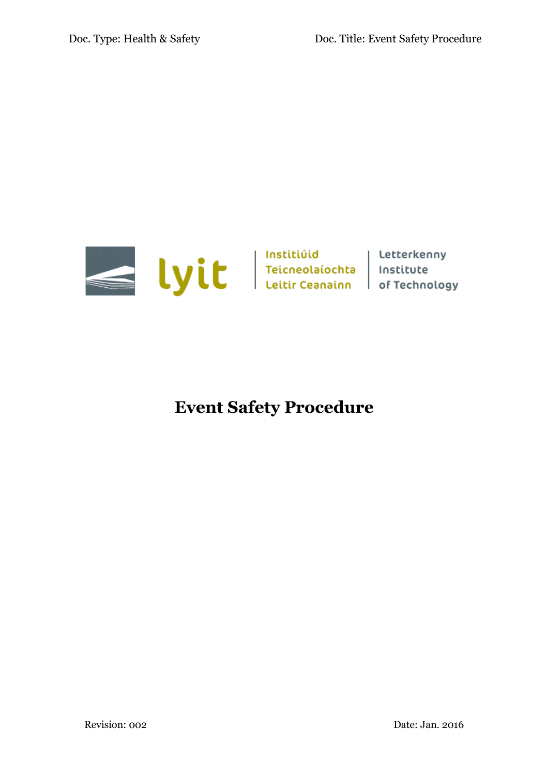

# **Event Safety Procedure**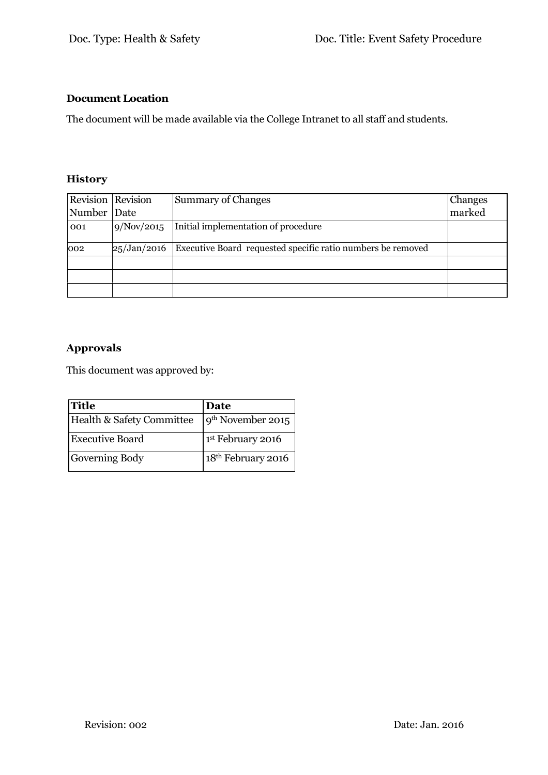## **Document Location**

The document will be made available via the College Intranet to all staff and students.

## **History**

| Revision Revision |             | <b>Summary of Changes</b>                                   | Changes |
|-------------------|-------------|-------------------------------------------------------------|---------|
| Number Date       |             |                                                             | marked  |
| 001               | 9/Nov/2015  | Initial implementation of procedure                         |         |
| 002               | 25/Jan/2016 | Executive Board requested specific ratio numbers be removed |         |
|                   |             |                                                             |         |
|                   |             |                                                             |         |
|                   |             |                                                             |         |

## **Approvals**

This document was approved by:

| <b>Title</b>              | Date                           |
|---------------------------|--------------------------------|
| Health & Safety Committee | $9th$ November 2015            |
| <b>Executive Board</b>    | 1 <sup>st</sup> February 2016  |
| Governing Body            | 18 <sup>th</sup> February 2016 |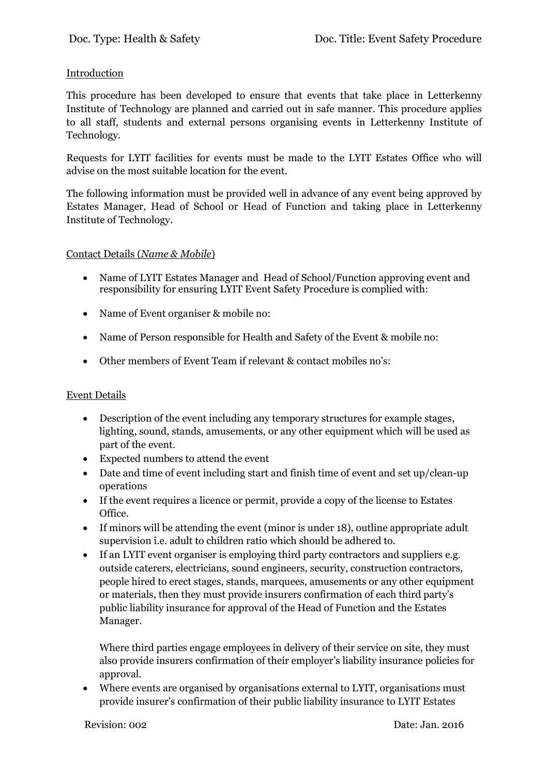## Introduction

This procedure has been developed to ensure that events that take place in Letterkenny Institute of Technology are planned and carried out in safe manner. This procedure applies to all staff, students and external persons organising events in Letterkenny Institute of Technology.

Requests for LYIT facilities for events must be made to the LYIT Estates Office who will advise on the most suitable location for the event.

The following information must be provided well in advance of any event being approved by Estates Manager, Head of School or Head of Function and taking place in Letterkenny Institute of Technology.

## Contact Details (*Name & Mobile*)

- Name of LYIT Estates Manager and Head of School/Function approving event and responsibility for ensuring LYIT Event Safety Procedure is complied with:
- Name of Event organiser & mobile no:
- Name of Person responsible for Health and Safety of the Event & mobile no:
- Other members of Event Team if relevant & contact mobiles no's:

## Event Details

- Description of the event including any temporary structures for example stages, lighting, sound, stands, amusements, or any other equipment which will be used as part of the event.
- Expected numbers to attend the event
- Date and time of event including start and finish time of event and set up/clean-up operations
- If the event requires a licence or permit, provide a copy of the license to Estates Office.
- If minors will be attending the event (minor is under 18), outline appropriate adult supervision i.e. adult to children ratio which should be adhered to.
- If an LYIT event organiser is employing third party contractors and suppliers e.g. outside caterers, electricians, sound engineers, security, construction contractors, people hired to erect stages, stands, marquees, amusements or any other equipment or materials, then they must provide insurers confirmation of each third party's public liability insurance for approval of the Head of Function and the Estates Manager.

Where third parties engage employees in delivery of their service on site, they must also provide insurers confirmation of their employer's liability insurance policies for approval.

 Where events are organised by organisations external to LYIT, organisations must provide insurer's confirmation of their public liability insurance to LYIT Estates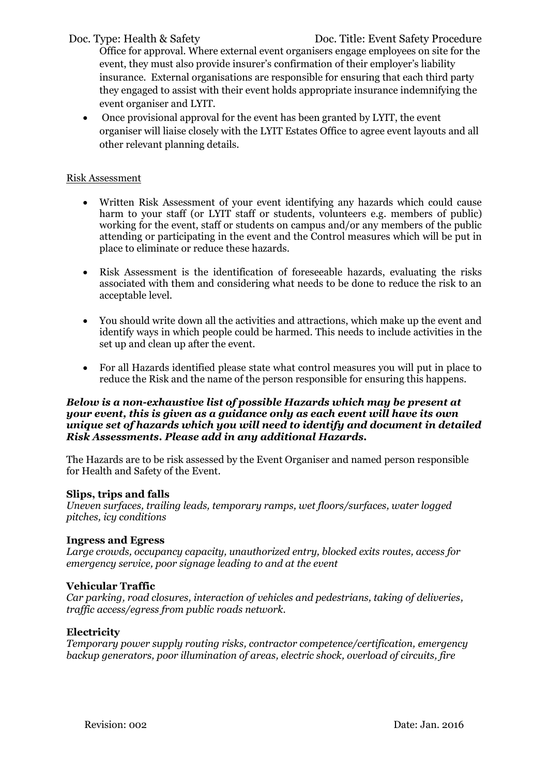Office for approval. Where external event organisers engage employees on site for the event, they must also provide insurer's confirmation of their employer's liability insurance. External organisations are responsible for ensuring that each third party they engaged to assist with their event holds appropriate insurance indemnifying the event organiser and LYIT.

 Once provisional approval for the event has been granted by LYIT, the event organiser will liaise closely with the LYIT Estates Office to agree event layouts and all other relevant planning details.

## Risk Assessment

- Written Risk Assessment of your event identifying any hazards which could cause harm to your staff (or LYIT staff or students, volunteers e.g. members of public) working for the event, staff or students on campus and/or any members of the public attending or participating in the event and the Control measures which will be put in place to eliminate or reduce these hazards.
- Risk Assessment is the identification of foreseeable hazards, evaluating the risks associated with them and considering what needs to be done to reduce the risk to an acceptable level.
- You should write down all the activities and attractions, which make up the event and identify ways in which people could be harmed. This needs to include activities in the set up and clean up after the event.
- For all Hazards identified please state what control measures you will put in place to reduce the Risk and the name of the person responsible for ensuring this happens.

#### *Below is a non-exhaustive list of possible Hazards which may be present at your event, this is given as a guidance only as each event will have its own unique set of hazards which you will need to identify and document in detailed Risk Assessments. Please add in any additional Hazards.*

The Hazards are to be risk assessed by the Event Organiser and named person responsible for Health and Safety of the Event.

## **Slips, trips and falls**

*Uneven surfaces, trailing leads, temporary ramps, wet floors/surfaces, water logged pitches, icy conditions*

## **Ingress and Egress**

*Large crowds, occupancy capacity, unauthorized entry, blocked exits routes, access for emergency service, poor signage leading to and at the event*

## **Vehicular Traffic**

*Car parking, road closures, interaction of vehicles and pedestrians, taking of deliveries, traffic access/egress from public roads network.*

## **Electricity**

*Temporary power supply routing risks, contractor competence/certification, emergency backup generators, poor illumination of areas, electric shock, overload of circuits, fire*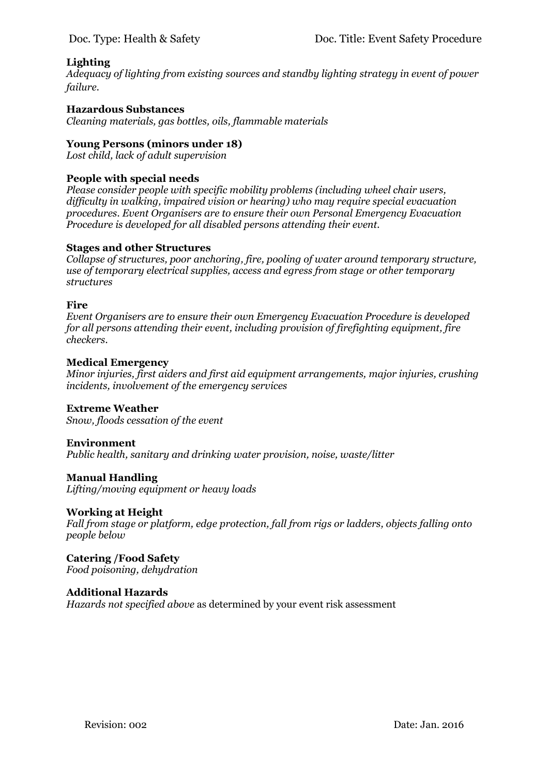## **Lighting**

*Adequacy of lighting from existing sources and standby lighting strategy in event of power failure.*

## **Hazardous Substances**

*Cleaning materials, gas bottles, oils, flammable materials*

## **Young Persons (minors under 18)**

*Lost child, lack of adult supervision*

## **People with special needs**

*Please consider people with specific mobility problems (including wheel chair users, difficulty in walking, impaired vision or hearing) who may require special evacuation procedures. Event Organisers are to ensure their own Personal Emergency Evacuation Procedure is developed for all disabled persons attending their event.*

## **Stages and other Structures**

*Collapse of structures, poor anchoring, fire, pooling of water around temporary structure, use of temporary electrical supplies, access and egress from stage or other temporary structures*

## **Fire**

*Event Organisers are to ensure their own Emergency Evacuation Procedure is developed for all persons attending their event, including provision of firefighting equipment, fire checkers.*

#### **Medical Emergency**

*Minor injuries, first aiders and first aid equipment arrangements, major injuries, crushing incidents, involvement of the emergency services*

## **Extreme Weather**

*Snow, floods cessation of the event*

## **Environment**

*Public health, sanitary and drinking water provision, noise, waste/litter*

## **Manual Handling**

*Lifting/moving equipment or heavy loads*

## **Working at Height**

*Fall from stage or platform, edge protection, fall from rigs or ladders, objects falling onto people below*

**Catering /Food Safety** *Food poisoning, dehydration*

## **Additional Hazards**

*Hazards not specified above* as determined by your event risk assessment